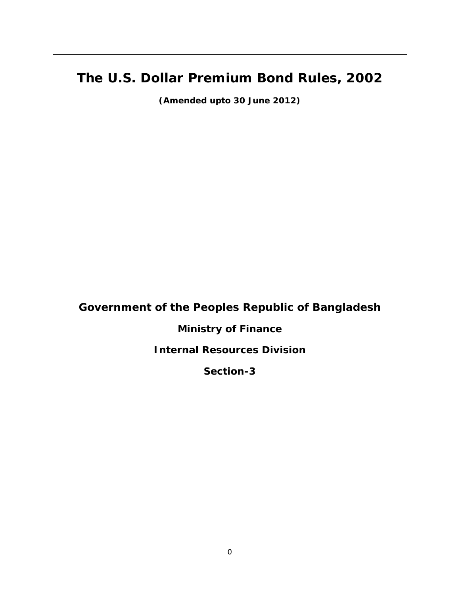# **The U.S. Dollar Premium Bond Rules, 2002**

**(Amended upto 30 June 2012)** 

**Government of the Peoples Republic of Bangladesh** 

# **Ministry of Finance**

# **Internal Resources Division**

# **Section-3**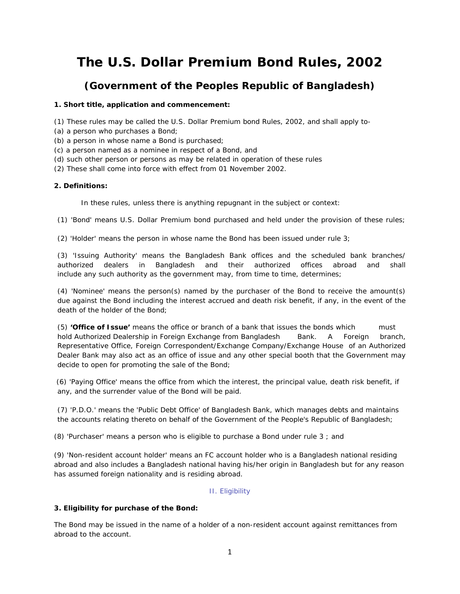# **The U.S. Dollar Premium Bond Rules, 2002**

# **(Government of the Peoples Republic of Bangladesh)**

### **1. Short title, application and commencement:**

(1) These rules may be called the U.S. Dollar Premium bond Rules, 2002, and shall apply to-

- (a) a person who purchases a Bond;
- (b) a person in whose name a Bond is purchased;
- (c) a person named as a nominee in respect of a Bond, and
- (d) such other person or persons as may be related in operation of these rules
- (2) These shall come into force with effect from 01 November 2002.

## **2. Definitions:**

In these rules, unless there is anything repugnant in the subject or context:

(1) 'Bond' means U.S. Dollar Premium bond purchased and held under the provision of these rules;

(2) 'Holder' means the person in whose name the Bond has been issued under rule 3;

(3) 'Issuing Authority' means the Bangladesh Bank offices and the scheduled bank branches/ authorized dealers in Bangladesh and their authorized offices abroad and shall include any such authority as the government may, from time to time, determines;

(4) 'Nominee' means the person(s) named by the purchaser of the Bond to receive the amount(s) due against the Bond including the interest accrued and death risk benefit, if any, in the event of the death of the holder of the Bond;

(5) **'Office of Issue'** means the office or branch of a bank that issues the bonds which must hold Authorized Dealership in Foreign Exchange from Bangladesh Bank. A Foreign branch, Representative Office, Foreign Correspondent/Exchange Company/Exchange House of an Authorized Dealer Bank may also act as an office of issue and any other special booth that the Government may decide to open for promoting the sale of the Bond;

 (6) 'Paying Office' means the office from which the interest, the principal value, death risk benefit, if any, and the surrender value of the Bond will be paid.

(7) 'P.D.O.' means the 'Public Debt Office' of Bangladesh Bank, which manages debts and maintains the accounts relating thereto on behalf of the Government of the People's Republic of Bangladesh;

(8) 'Purchaser' means a person who is eligible to purchase a Bond under rule 3 ; and

(9) 'Non-resident account holder' means an FC account holder who is a Bangladesh national residing abroad and also includes a Bangladesh national having his/her origin in Bangladesh but for any reason has assumed foreign nationality and is residing abroad.

# II. Eligibility

#### **3. Eligibility for purchase of the Bond:**

The Bond may be issued in the name of a holder of a non-resident account against remittances from abroad to the account.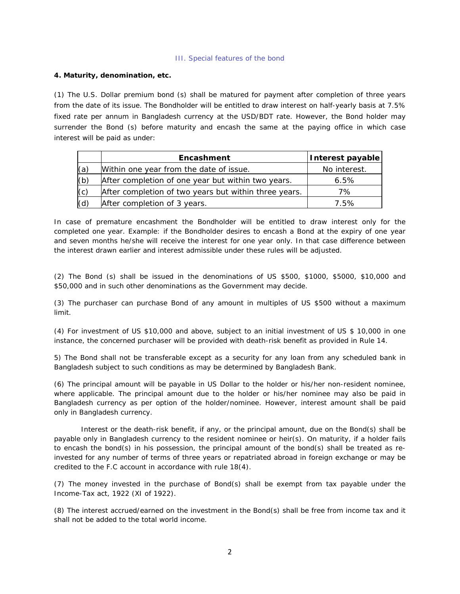#### III. Special features of the bond

### **4. Maturity, denomination, etc.**

(1) The U.S. Dollar premium bond (s) shall be matured for payment after completion of three years from the date of its issue. The Bondholder will be entitled to draw interest on half-yearly basis at 7.5% fixed rate per annum in Bangladesh currency at the USD/BDT rate. However, the Bond holder may surrender the Bond (s) before maturity and encash the same at the paying office in which case interest will be paid as under:

|     | Encashment                                            | Interest payable |
|-----|-------------------------------------------------------|------------------|
| (a) | Within one year from the date of issue.               | No interest.     |
| (b) | After completion of one year but within two years.    | 6.5%             |
| (c) | After completion of two years but within three years. | 7%               |
| (d) | After completion of 3 years.                          | 7.5%             |

In case of premature encashment the Bondholder will be entitled to draw interest only for the completed one year. Example: if the Bondholder desires to encash a Bond at the expiry of one year and seven months he/she will receive the interest for one year only. In that case difference between the interest drawn earlier and interest admissible under these rules will be adjusted.

(2) The Bond (s) shall be issued in the denominations of US \$500, \$1000, \$5000, \$10,000 and \$50,000 and in such other denominations as the Government may decide.

(3) The purchaser can purchase Bond of any amount in multiples of US \$500 without a maximum limit.

(4) For investment of US \$10,000 and above, subject to an initial investment of US \$ 10,000 in one instance, the concerned purchaser will be provided with death-risk benefit as provided in Rule 14.

5) The Bond shall not be transferable except as a security for any loan from any scheduled bank in Bangladesh subject to such conditions as may be determined by Bangladesh Bank.

(6) The principal amount will be payable in US Dollar to the holder or his/her non-resident nominee, where applicable. The principal amount due to the holder or his/her nominee may also be paid in Bangladesh currency as per option of the holder/nominee. However, interest amount shall be paid only in Bangladesh currency.

Interest or the death-risk benefit, if any, or the principal amount, due on the Bond(s) shall be payable only in Bangladesh currency to the resident nominee or heir(s). On maturity, if a holder fails to encash the bond(s) in his possession, the principal amount of the bond(s) shall be treated as reinvested for any number of terms of three years or repatriated abroad in foreign exchange or may be credited to the F.C account in accordance with rule 18(4).

(7) The money invested in the purchase of Bond(s) shall be exempt from tax payable under the Income-Tax act, 1922 (XI of 1922).

(8) The interest accrued/earned on the investment in the Bond(s) shall be free from income tax and it shall not be added to the total world income.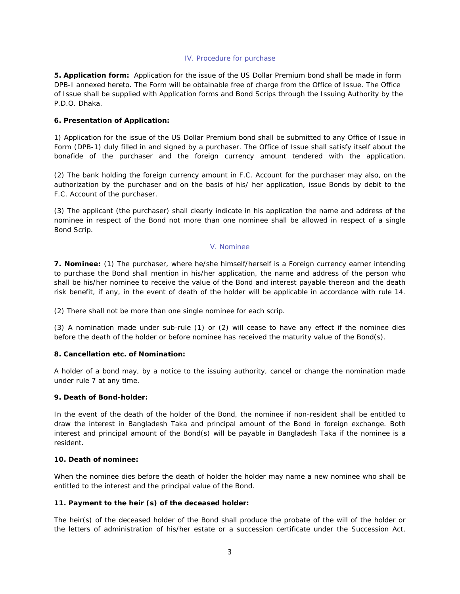#### IV. Procedure for purchase

**5. Application form:** Application for the issue of the US Dollar Premium bond shall be made in form DPB-I annexed hereto. The Form will be obtainable free of charge from the Office of Issue. The Office of Issue shall be supplied with Application forms and Bond Scrips through the Issuing Authority by the P.D.O. Dhaka.

#### **6. Presentation of Application:**

1) Application for the issue of the US Dollar Premium bond shall be submitted to any Office of Issue in Form (DPB-1) duly filled in and signed by a purchaser. The Office of Issue shall satisfy itself about the bonafide of the purchaser and the foreign currency amount tendered with the application.

(2) The bank holding the foreign currency amount in F.C. Account for the purchaser may also, on the authorization by the purchaser and on the basis of his/ her application, issue Bonds by debit to the F.C. Account of the purchaser.

(3) The applicant (the purchaser) shall clearly indicate in his application the name and address of the nominee in respect of the Bond not more than one nominee shall be allowed in respect of a single Bond Scrip.

#### V. Nominee

**7. Nominee:** (1) The purchaser, where he/she himself/herself is a Foreign currency earner intending to purchase the Bond shall mention in his/her application, the name and address of the person who shall be his/her nominee to receive the value of the Bond and interest payable thereon and the death risk benefit, if any, in the event of death of the holder will be applicable in accordance with rule 14.

(2) There shall not be more than one single nominee for each scrip.

(3) A nomination made under sub-rule (1) or (2) will cease to have any effect if the nominee dies before the death of the holder or before nominee has received the maturity value of the Bond(s).

#### **8. Cancellation etc. of Nomination:**

A holder of a bond may, by a notice to the issuing authority, cancel or change the nomination made under rule 7 at any time.

#### **9. Death of Bond-holder:**

In the event of the death of the holder of the Bond, the nominee if non-resident shall be entitled to draw the interest in Bangladesh Taka and principal amount of the Bond in foreign exchange. Both interest and principal amount of the Bond(s) will be payable in Bangladesh Taka if the nominee is a resident.

#### **10. Death of nominee:**

When the nominee dies before the death of holder the holder may name a new nominee who shall be entitled to the interest and the principal value of the Bond.

#### **11. Payment to the heir (s) of the deceased holder:**

The heir(s) of the deceased holder of the Bond shall produce the probate of the will of the holder or the letters of administration of his/her estate or a succession certificate under the Succession Act,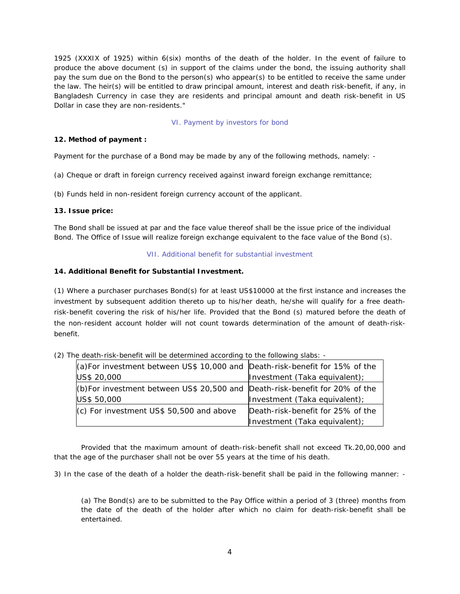1925 (XXXIX of 1925) within 6(six) months of the death of the holder. In the event of failure to produce the above document (s) in support of the claims under the bond, the issuing authority shall pay the sum due on the Bond to the person(s) who appear(s) to be entitled to receive the same under the law. The heir(s) will be entitled to draw principal amount, interest and death risk-benefit, if any, in Bangladesh Currency in case they are residents and principal amount and death risk-benefit in US Dollar in case they are non-residents."

#### VI. Payment by investors for bond

#### **12. Method of payment :**

Payment for the purchase of a Bond may be made by any of the following methods, namely: -

(a) Cheque or draft in foreign currency received against inward foreign exchange remittance;

(b) Funds held in non-resident foreign currency account of the applicant.

#### **13. Issue price:**

The Bond shall be issued at par and the face value thereof shall be the issue price of the individual Bond. The Office of Issue will realize foreign exchange equivalent to the face value of the Bond (s).

#### VII. Additional benefit for substantial investment

#### **14. Additional Benefit for Substantial Investment.**

(1) Where a purchaser purchases Bond(s) for at least US\$10000 at the first instance and increases the investment by subsequent addition thereto up to his/her death, he/she will qualify for a free deathrisk-benefit covering the risk of his/her life. Provided that the Bond (s) matured before the death of the non-resident account holder will not count towards determination of the amount of death-riskbenefit.

| (a) For investment between US\$ 10,000 and Death-risk-benefit for 15% of the    |                                   |  |
|---------------------------------------------------------------------------------|-----------------------------------|--|
| US\$ 20,000                                                                     | Investment (Taka equivalent);     |  |
| (b) For investment between US\$ 20,500 and $[Death-risk-benefit$ for 20% of the |                                   |  |
| US\$ 50,000                                                                     | Investment (Taka equivalent);     |  |
| $\vert$ (c) For investment US\$ 50,500 and above                                | Death-risk-benefit for 25% of the |  |
|                                                                                 | Investment (Taka equivalent);     |  |

(2) The death-risk-benefit will be determined according to the following slabs: -

Provided that the maximum amount of death-risk-benefit shall not exceed Tk.20,00,000 and that the age of the purchaser shall not be over 55 years at the time of his death.

3) In the case of the death of a holder the death-risk-benefit shall be paid in the following manner: -

(a) The Bond(s) are to be submitted to the Pay Office within a period of 3 (three) months from the date of the death of the holder after which no claim for death-risk-benefit shall be entertained.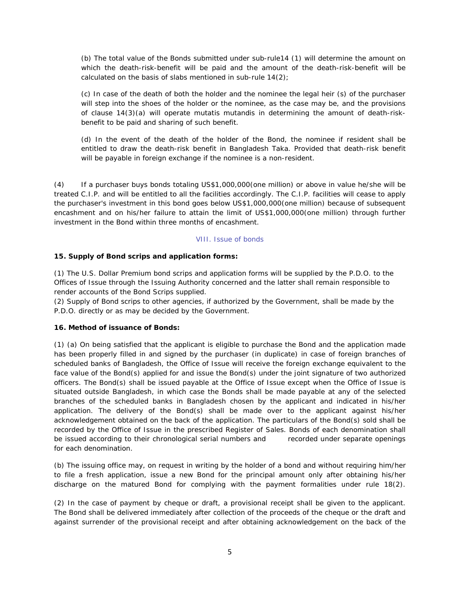(b) The total value of the Bonds submitted under sub-rule14 (1) will determine the amount on which the death-risk-benefit will be paid and the amount of the death-risk-benefit will be calculated on the basis of slabs mentioned in sub-rule  $14(2)$ ;

(c) In case of the death of both the holder and the nominee the legal heir (s) of the purchaser will step into the shoes of the holder or the nominee, as the case may be, and the provisions of clause 14(3)(a) will operate mutatis mutandis in determining the amount of death-riskbenefit to be paid and sharing of such benefit.

(d) In the event of the death of the holder of the Bond, the nominee if resident shall be entitled to draw the death-risk benefit in Bangladesh Taka. Provided that death-risk benefit will be payable in foreign exchange if the nominee is a non-resident.

(4) If a purchaser buys bonds totaling US\$1,000,000(one million) or above in value he/she will be treated C.I.P. and will be entitled to all the facilities accordingly. The C.I.P. facilities will cease to apply the purchaser's investment in this bond goes below US\$1,000,000(one million) because of subsequent encashment and on his/her failure to attain the limit of US\$1,000,000(one million) through further investment in the Bond within three months of encashment.

#### VIII. Issue of bonds

## **15. Supply of Bond scrips and application forms:**

(1) The U.S. Dollar Premium bond scrips and application forms will be supplied by the P.D.O. to the Offices of Issue through the Issuing Authority concerned and the latter shall remain responsible to render accounts of the Bond Scrips supplied.

(2) Supply of Bond scrips to other agencies, if authorized by the Government, shall be made by the P.D.O. directly or as may be decided by the Government.

#### **16. Method of issuance of Bonds:**

(1) (a) On being satisfied that the applicant is eligible to purchase the Bond and the application made has been properly filled in and signed by the purchaser (in duplicate) in case of foreign branches of scheduled banks of Bangladesh, the Office of Issue will receive the foreign exchange equivalent to the face value of the Bond(s) applied for and issue the Bond(s) under the joint signature of two authorized officers. The Bond(s) shall be issued payable at the Office of Issue except when the Office of Issue is situated outside Bangladesh, in which case the Bonds shall be made payable at any of the selected branches of the scheduled banks in Bangladesh chosen by the applicant and indicated in his/her application. The delivery of the Bond(s) shall be made over to the applicant against his/her acknowledgement obtained on the back of the application. The particulars of the Bond(s) sold shall be recorded by the Office of Issue in the prescribed Register of Sales. Bonds of each denomination shall be issued according to their chronological serial numbers and recorded under separate openings for each denomination.

(b) The issuing office may, on request in writing by the holder of a bond and without requiring him/her to file a fresh application, issue a new Bond for the principal amount only after obtaining his/her discharge on the matured Bond for complying with the payment formalities under rule 18(2).

(2) In the case of payment by cheque or draft, a provisional receipt shall be given to the applicant. The Bond shall be delivered immediately after collection of the proceeds of the cheque or the draft and against surrender of the provisional receipt and after obtaining acknowledgement on the back of the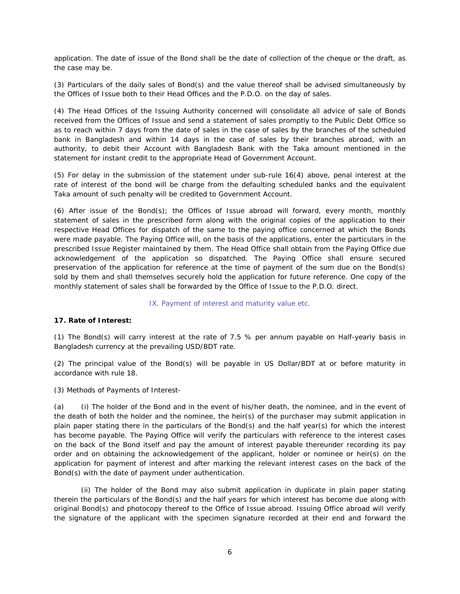application. The date of issue of the Bond shall be the date of collection of the cheque or the draft, as the case may be.

(3) Particulars of the daily sales of Bond(s) and the value thereof shall be advised simultaneously by the Offices of Issue both to their Head Offices and the P.D.O. on the day of sales.

(4) The Head Offices of the Issuing Authority concerned will consolidate all advice of sale of Bonds received from the Offices of Issue and send a statement of sales promptly to the Public Debt Office so as to reach within 7 days from the date of sales in the case of sales by the branches of the scheduled bank in Bangladesh and within 14 days in the case of sales by their branches abroad, with an authority, to debit their Account with Bangladesh Bank with the Taka amount mentioned in the statement for instant credit to the appropriate Head of Government Account.

(5) For delay in the submission of the statement under sub-rule 16(4) above, penal interest at the rate of interest of the bond will be charge from the defaulting scheduled banks and the equivalent Taka amount of such penalty will be credited to Government Account.

(6) After issue of the Bond(s); the Offices of Issue abroad will forward, every month, monthly statement of sales in the prescribed form along with the original copies of the application to their respective Head Offices for dispatch of the same to the paying office concerned at which the Bonds were made payable. The Paying Office will, on the basis of the applications, enter the particulars in the prescribed Issue Register maintained by them. The Head Office shall obtain from the Paying Office due acknowledgement of the application so dispatched. The Paying Office shall ensure secured preservation of the application for reference at the time of payment of the sum due on the Bond(s) sold by them and shall themselves securely hold the application for future reference. One copy of the monthly statement of sales shall be forwarded by the Office of Issue to the P.D.O. direct.

#### IX. Payment of interest and maturity value etc.

#### **17. Rate of Interest:**

(1) The Bond(s) will carry interest at the rate of 7.5 % per annum payable on Half-yearly basis in Bangladesh currency at the prevailing USD/BDT rate.

(2) The principal value of the Bond(s) will be payable in US Dollar/BDT at or before maturity in accordance with rule 18.

(3) Methods of Payments of Interest-

(a) (i) The holder of the Bond and in the event of his/her death, the nominee, and in the event of the death of both the holder and the nominee, the heir(s) of the purchaser may submit application in plain paper stating there in the particulars of the Bond(s) and the half year(s) for which the interest has become payable. The Paying Office will verify the particulars with reference to the interest cases on the back of the Bond itself and pay the amount of interest payable thereunder recording its pay order and on obtaining the acknowledgement of the applicant, holder or nominee or heir(s) on the application for payment of interest and after marking the relevant interest cases on the back of the Bond(s) with the date of payment under authentication.

(ii) The holder of the Bond may also submit application in duplicate in plain paper stating therein the particulars of the Bond(s) and the half years for which interest has become due along with original Bond(s) and photocopy thereof to the Office of Issue abroad. Issuing Office abroad will verify the signature of the applicant with the specimen signature recorded at their end and forward the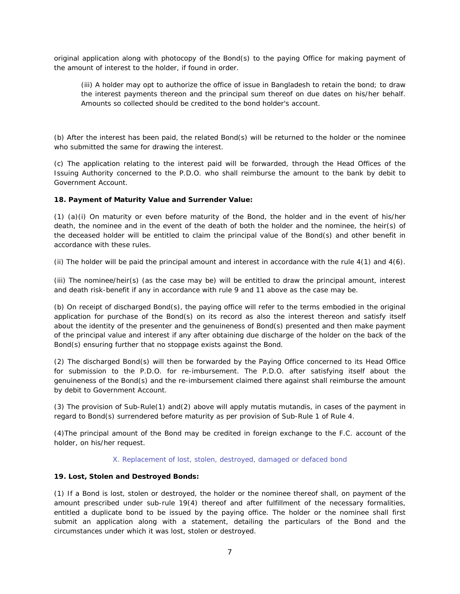original application along with photocopy of the Bond(s) to the paying Office for making payment of the amount of interest to the holder, if found in order.

(iii) A holder may opt to authorize the office of issue in Bangladesh to retain the bond; to draw the interest payments thereon and the principal sum thereof on due dates on his/her behalf. Amounts so collected should be credited to the bond holder's account.

(b) After the interest has been paid, the related Bond(s) will be returned to the holder or the nominee who submitted the same for drawing the interest.

(c) The application relating to the interest paid will be forwarded, through the Head Offices of the Issuing Authority concerned to the P.D.O. who shall reimburse the amount to the bank by debit to Government Account.

#### **18. Payment of Maturity Value and Surrender Value:**

(1) (a)(i) On maturity or even before maturity of the Bond, the holder and in the event of his/her death, the nominee and in the event of the death of both the holder and the nominee, the heir(s) of the deceased holder will be entitled to claim the principal value of the Bond(s) and other benefit in accordance with these rules.

(ii) The holder will be paid the principal amount and interest in accordance with the rule  $4(1)$  and  $4(6)$ .

(iii) The nominee/heir(s) (as the case may be) will be entitled to draw the principal amount, interest and death risk-benefit if any in accordance with rule 9 and 11 above as the case may be.

(b) On receipt of discharged Bond(s), the paying office will refer to the terms embodied in the original application for purchase of the Bond(s) on its record as also the interest thereon and satisfy itself about the identity of the presenter and the genuineness of Bond(s) presented and then make payment of the principal value and interest if any after obtaining due discharge of the holder on the back of the Bond(s) ensuring further that no stoppage exists against the Bond.

(2) The discharged Bond(s) will then be forwarded by the Paying Office concerned to its Head Office for submission to the P.D.O. for re-imbursement. The P.D.O. after satisfying itself about the genuineness of the Bond(s) and the re-imbursement claimed there against shall reimburse the amount by debit to Government Account.

(3) The provision of Sub-Rule(1) and(2) above will apply mutatis mutandis, in cases of the payment in regard to Bond(s) surrendered before maturity as per provision of Sub-Rule 1 of Rule 4.

(4)The principal amount of the Bond may be credited in foreign exchange to the F.C. account of the holder, on his/her request.

#### X. Replacement of lost, stolen, destroyed, damaged or defaced bond

#### **19. Lost, Stolen and Destroyed Bonds:**

(1) If a Bond is lost, stolen or destroyed, the holder or the nominee thereof shall, on payment of the amount prescribed under sub-rule 19(4) thereof and after fulfillment of the necessary formalities, entitled a duplicate bond to be issued by the paying office. The holder or the nominee shall first submit an application along with a statement, detailing the particulars of the Bond and the circumstances under which it was lost, stolen or destroyed.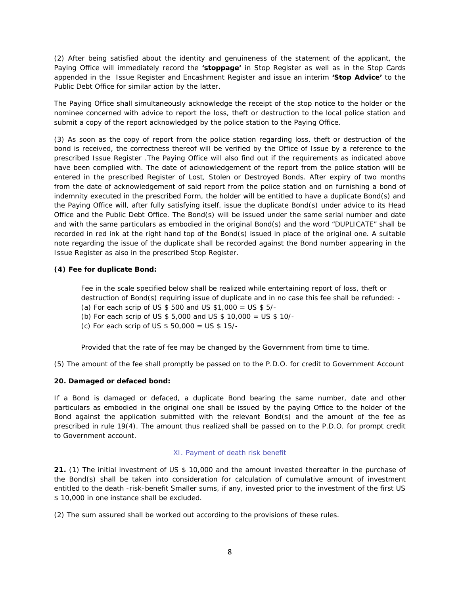(2) After being satisfied about the identity and genuineness of the statement of the applicant, the Paying Office will immediately record the **'stoppage'** in Stop Register as well as in the Stop Cards appended in the Issue Register and Encashment Register and issue an interim **'Stop Advice'** to the Public Debt Office for similar action by the latter.

The Paying Office shall simultaneously acknowledge the receipt of the stop notice to the holder or the nominee concerned with advice to report the loss, theft or destruction to the local police station and submit a copy of the report acknowledged by the police station to the Paying Office.

(3) As soon as the copy of report from the police station regarding loss, theft or destruction of the bond is received, the correctness thereof will be verified by the Office of Issue by a reference to the prescribed Issue Register .The Paying Office will also find out if the requirements as indicated above have been complied with. The date of acknowledgement of the report from the police station will be entered in the prescribed Register of Lost, Stolen or Destroyed Bonds. After expiry of two months from the date of acknowledgement of said report from the police station and on furnishing a bond of indemnity executed in the prescribed Form, the holder will be entitled to have a duplicate Bond(s) and the Paying Office will, after fully satisfying itself, issue the duplicate Bond(s) under advice to its Head Office and the Public Debt Office. The Bond(s) will be issued under the same serial number and date and with the same particulars as embodied in the original Bond(s) and the word "DUPLICATE" shall be recorded in red ink at the right hand top of the Bond(s) issued in place of the original one. A suitable note regarding the issue of the duplicate shall be recorded against the Bond number appearing in the Issue Register as also in the prescribed Stop Register.

#### **(4) Fee for duplicate Bond:**

Fee in the scale specified below shall be realized while entertaining report of loss, theft or destruction of Bond(s) requiring issue of duplicate and in no case this fee shall be refunded: - (a) For each scrip of US  $$500$  and US  $$1,000 = US $5/$ -

- (b) For each scrip of US \$ 5,000 and US \$ 10,000 = US \$ 10/-
- (c) For each scrip of US \$ 50,000 = US \$ 15/-

Provided that the rate of fee may be changed by the Government from time to time.

(5) The amount of the fee shall promptly be passed on to the P.D.O. for credit to Government Account

#### **20. Damaged or defaced bond:**

If a Bond is damaged or defaced, a duplicate Bond bearing the same number, date and other particulars as embodied in the original one shall be issued by the paying Office to the holder of the Bond against the application submitted with the relevant Bond(s) and the amount of the fee as prescribed in rule 19(4). The amount thus realized shall be passed on to the P.D.O. for prompt credit to Government account.

#### XI. Payment of death risk benefit

**21.** (1) The initial investment of US \$ 10,000 and the amount invested thereafter in the purchase of the Bond(s) shall be taken into consideration for calculation of cumulative amount of investment entitled to the death -risk-benefit Smaller sums, if any, invested prior to the investment of the first US \$ 10,000 in one instance shall be excluded.

(2) The sum assured shall be worked out according to the provisions of these rules.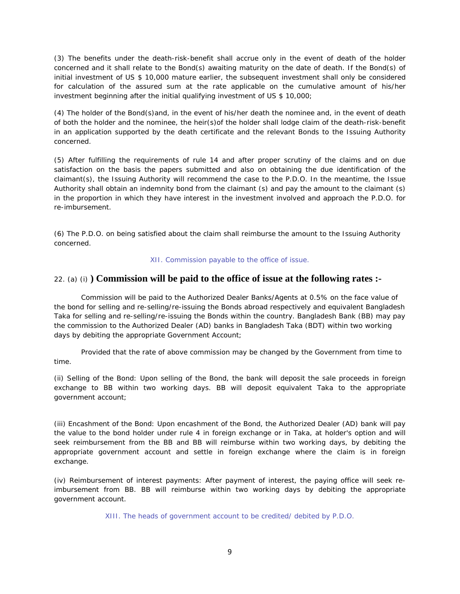(3) The benefits under the death-risk-benefit shall accrue only in the event of death of the holder concerned and it shall relate to the Bond(s) awaiting maturity on the date of death. If the Bond(s) of initial investment of US \$ 10,000 mature earlier, the subsequent investment shall only be considered for calculation of the assured sum at the rate applicable on the cumulative amount of his/her investment beginning after the initial qualifying investment of US \$ 10,000;

(4) The holder of the Bond(s)and, in the event of his/her death the nominee and, in the event of death of both the holder and the nominee, the heir(s)of the holder shall lodge claim of the death-risk-benefit in an application supported by the death certificate and the relevant Bonds to the Issuing Authority concerned.

(5) After fulfilling the requirements of rule 14 and after proper scrutiny of the claims and on due satisfaction on the basis the papers submitted and also on obtaining the due identification of the claimant(s), the Issuing Authority will recommend the case to the P.D.O. In the meantime, the Issue Authority shall obtain an indemnity bond from the claimant (s) and pay the amount to the claimant (s) in the proportion in which they have interest in the investment involved and approach the P.D.O. for re-imbursement.

(6) The P.D.O. on being satisfied about the claim shall reimburse the amount to the Issuing Authority concerned.

#### XII. Commission payable to the office of issue.

# 22. (a) (i) **) Commission will be paid to the office of issue at the following rates :-**

Commission will be paid to the Authorized Dealer Banks/Agents at 0.5% on the face value of the bond for selling and re-selling/re-issuing the Bonds abroad respectively and equivalent Bangladesh Taka for selling and re-selling/re-issuing the Bonds within the country. Bangladesh Bank (BB) may pay the commission to the Authorized Dealer (AD) banks in Bangladesh Taka (BDT) within two working days by debiting the appropriate Government Account;

Provided that the rate of above commission may be changed by the Government from time to time.

(ii) Selling of the Bond: Upon selling of the Bond, the bank will deposit the sale proceeds in foreign exchange to BB within two working days. BB will deposit equivalent Taka to the appropriate government account;

(iii) Encashment of the Bond: Upon encashment of the Bond, the Authorized Dealer (AD) bank will pay the value to the bond holder under rule 4 in foreign exchange or in Taka, at holder's option and will seek reimbursement from the BB and BB will reimburse within two working days, by debiting the appropriate government account and settle in foreign exchange where the claim is in foreign exchange.

(iv) Reimbursement of interest payments: After payment of interest, the paying office will seek reimbursement from BB. BB will reimburse within two working days by debiting the appropriate government account.

XIII. The heads of government account to be credited/ debited by P.D.O.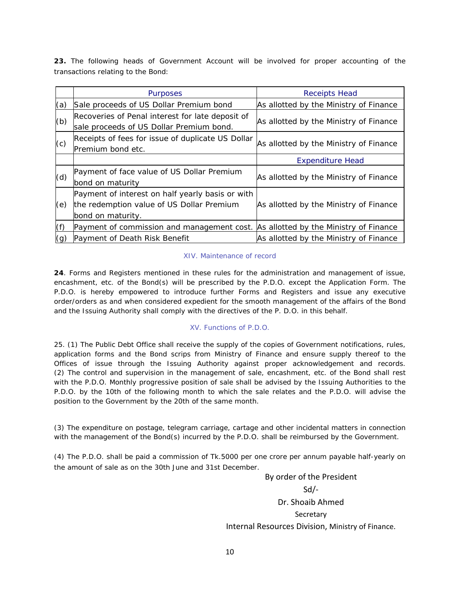**23.** The following heads of Government Account will be involved for proper accounting of the transactions relating to the Bond:

|     | <b>Purposes</b>                                                                                                    | <b>Receipts Head</b>                   |
|-----|--------------------------------------------------------------------------------------------------------------------|----------------------------------------|
| (a) | Sale proceeds of US Dollar Premium bond                                                                            | As allotted by the Ministry of Finance |
| (b) | Recoveries of Penal interest for late deposit of<br>sale proceeds of US Dollar Premium bond.                       | As allotted by the Ministry of Finance |
| (c) | Receipts of fees for issue of duplicate US Dollar<br>Premium bond etc.                                             | As allotted by the Ministry of Finance |
|     |                                                                                                                    | <b>Expenditure Head</b>                |
| (d) | Payment of face value of US Dollar Premium<br>bond on maturity                                                     | As allotted by the Ministry of Finance |
| (e) | Payment of interest on half yearly basis or with<br>the redemption value of US Dollar Premium<br>bond on maturity. | As allotted by the Ministry of Finance |
| (f) | Payment of commission and management cost.                                                                         | As allotted by the Ministry of Finance |
| (g) | Payment of Death Risk Benefit                                                                                      | As allotted by the Ministry of Finance |

#### XIV. Maintenance of record

**24**. Forms and Registers mentioned in these rules for the administration and management of issue, encashment, etc. of the Bond(s) will be prescribed by the P.D.O. except the Application Form. The P.D.O. is hereby empowered to introduce further Forms and Registers and issue any executive order/orders as and when considered expedient for the smooth management of the affairs of the Bond and the Issuing Authority shall comply with the directives of the P. D.O. in this behalf.

#### XV. Functions of P.D.O.

25. (1) The Public Debt Office shall receive the supply of the copies of Government notifications, rules, application forms and the Bond scrips from Ministry of Finance and ensure supply thereof to the Offices of issue through the Issuing Authority against proper acknowledgement and records. (2) The control and supervision in the management of sale, encashment, etc. of the Bond shall rest with the P.D.O. Monthly progressive position of sale shall be advised by the Issuing Authorities to the P.D.O. by the 10th of the following month to which the sale relates and the P.D.O. will advise the position to the Government by the 20th of the same month.

(3) The expenditure on postage, telegram carriage, cartage and other incidental matters in connection with the management of the Bond(s) incurred by the P.D.O. shall be reimbursed by the Government.

(4) The P.D.O. shall be paid a commission of Tk.5000 per one crore per annum payable half-yearly on the amount of sale as on the 30th June and 31st December.

> By order of the President Sd/‐ Dr. Shoaib Ahmed Secretary Internal Resources Division, Ministry of Finance.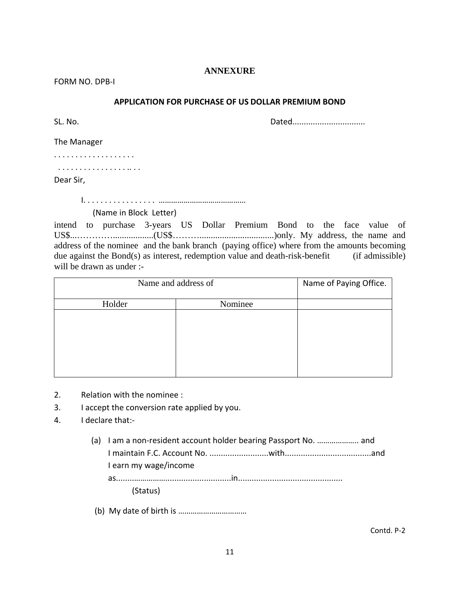# **ANNEXURE**

FORM NO. DPB‐I

# **APPLICATION FOR PURCHASE OF US DOLLAR PREMIUM BOND**

SL. No. Dated................................

The Manager

. . . . . . . . . . . . . . . . . . .

. . . . . . . . . . . . . . . . .. . .

Dear Sir,

I. . . . . . . . . . . . . . . . . ……………………………………

(Name in Block Letter)

intend to purchase 3-years US Dollar Premium Bond to the face value of US\$...…………..................(US\$……….................................)only. My address, the name and address of the nominee and the bank branch (paying office) where from the amounts becoming due against the Bond(s) as interest, redemption value and death-risk-benefit (if admissible) will be drawn as under :-

| Name and address of |         | Name of Paying Office. |
|---------------------|---------|------------------------|
| Holder              | Nominee |                        |
|                     |         |                        |
|                     |         |                        |
|                     |         |                        |
|                     |         |                        |
|                     |         |                        |

- 2. Relation with the nominee :
- 3. I accept the conversion rate applied by you.
- 4. I declare that:‐
	- (a) I am a non‐resident account holder bearing Passport No. ……………….. and I maintain F.C. Account No. ..........................with......................................and I earn my wage/income as........…………….............................in.............................................. (Status)
	- (b) My date of birth is ……………………………